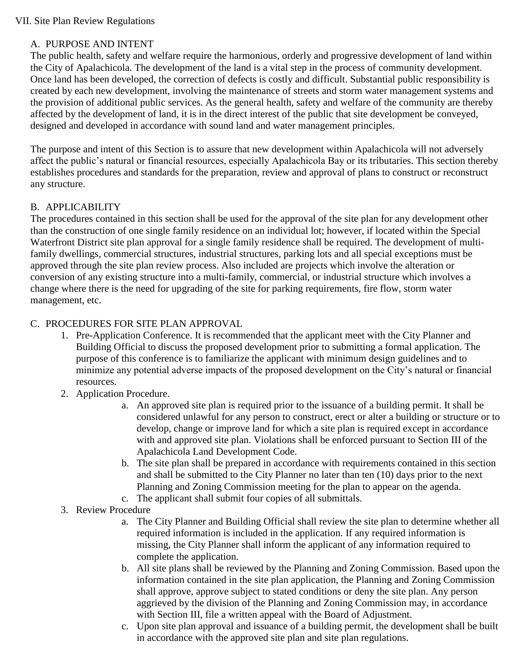#### A. PURPOSE AND INTENT

The public health, safety and welfare require the harmonious, orderly and progressive development of land within the City of Apalachicola. The development of the land is a vital step in the process of community development. Once land has been developed, the correction of defects is costly and difficult. Substantial public responsibility is created by each new development, involving the maintenance of streets and storm water management systems and the provision of additional public services. As the general health, safety and welfare of the community are thereby affected by the development of land, it is in the direct interest of the public that site development be conveyed, designed and developed in accordance with sound land and water management principles.

The purpose and intent of this Section is to assure that new development within Apalachicola will not adversely affect the public's natural or financial resources, especially Apalachicola Bay or its tributaries. This section thereby establishes procedures and standards for the preparation, review and approval of plans to construct or reconstruct any structure.

### B. APPLICABILITY

The procedures contained in this section shall be used for the approval of the site plan for any development other than the construction of one single family residence on an individual lot; however, if located within the Special Waterfront District site plan approval for a single family residence shall be required. The development of multifamily dwellings, commercial structures, industrial structures, parking lots and all special exceptions must be approved through the site plan review process. Also included are projects which involve the alteration or conversion of any existing structure into a multi-family, commercial, or industrial structure which involves a change where there is the need for upgrading of the site for parking requirements, fire flow, storm water management, etc.

#### C. PROCEDURES FOR SITE PLAN APPROVAL

- 1. Pre-Application Conference. It is recommended that the applicant meet with the City Planner and Building Official to discuss the proposed development prior to submitting a formal application. The purpose of this conference is to familiarize the applicant with minimum design guidelines and to minimize any potential adverse impacts of the proposed development on the City's natural or financial resources.
- 2. Application Procedure.
	- a. An approved site plan is required prior to the issuance of a building permit. It shall be considered unlawful for any person to construct, erect or alter a building or structure or to develop, change or improve land for which a site plan is required except in accordance with and approved site plan. Violations shall be enforced pursuant to Section III of the Apalachicola Land Development Code.
	- b. The site plan shall be prepared in accordance with requirements contained in this section and shall be submitted to the City Planner no later than ten (10) days prior to the next Planning and Zoning Commission meeting for the plan to appear on the agenda.
	- c. The applicant shall submit four copies of all submittals.
- 3. Review Procedure
	- a. The City Planner and Building Official shall review the site plan to determine whether all required information is included in the application. If any required information is missing, the City Planner shall inform the applicant of any information required to complete the application.
	- b. All site plans shall be reviewed by the Planning and Zoning Commission. Based upon the information contained in the site plan application, the Planning and Zoning Commission shall approve, approve subject to stated conditions or deny the site plan. Any person aggrieved by the division of the Planning and Zoning Commission may, in accordance with Section III, file a written appeal with the Board of Adjustment.
	- c. Upon site plan approval and issuance of a building permit, the development shall be built in accordance with the approved site plan and site plan regulations.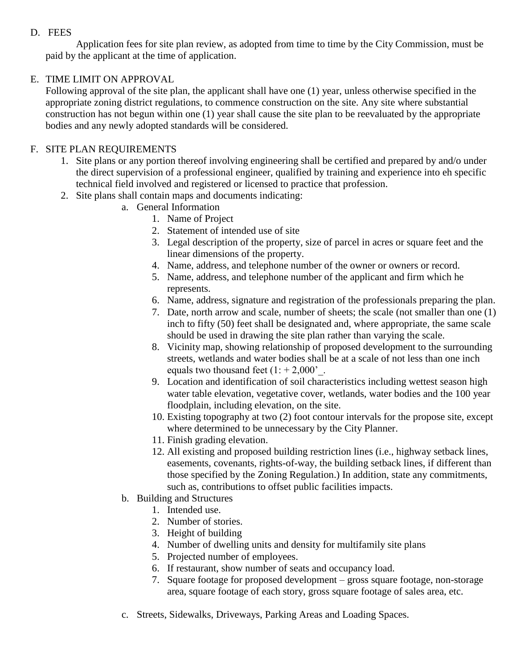## D. FEES

Application fees for site plan review, as adopted from time to time by the City Commission, must be paid by the applicant at the time of application.

# E. TIME LIMIT ON APPROVAL

Following approval of the site plan, the applicant shall have one (1) year, unless otherwise specified in the appropriate zoning district regulations, to commence construction on the site. Any site where substantial construction has not begun within one (1) year shall cause the site plan to be reevaluated by the appropriate bodies and any newly adopted standards will be considered.

# F. SITE PLAN REQUIREMENTS

- 1. Site plans or any portion thereof involving engineering shall be certified and prepared by and/o under the direct supervision of a professional engineer, qualified by training and experience into eh specific technical field involved and registered or licensed to practice that profession.
- 2. Site plans shall contain maps and documents indicating:
	- a. General Information
		- 1. Name of Project
		- 2. Statement of intended use of site
		- 3. Legal description of the property, size of parcel in acres or square feet and the linear dimensions of the property.
		- 4. Name, address, and telephone number of the owner or owners or record.
		- 5. Name, address, and telephone number of the applicant and firm which he represents.
		- 6. Name, address, signature and registration of the professionals preparing the plan.
		- 7. Date, north arrow and scale, number of sheets; the scale (not smaller than one (1) inch to fifty (50) feet shall be designated and, where appropriate, the same scale should be used in drawing the site plan rather than varying the scale.
		- 8. Vicinity map, showing relationship of proposed development to the surrounding streets, wetlands and water bodies shall be at a scale of not less than one inch equals two thousand feet  $(1: +2,000)$ .
		- 9. Location and identification of soil characteristics including wettest season high water table elevation, vegetative cover, wetlands, water bodies and the 100 year floodplain, including elevation, on the site.
		- 10. Existing topography at two (2) foot contour intervals for the propose site, except where determined to be unnecessary by the City Planner.
		- 11. Finish grading elevation.
		- 12. All existing and proposed building restriction lines (i.e., highway setback lines, easements, covenants, rights-of-way, the building setback lines, if different than those specified by the Zoning Regulation.) In addition, state any commitments, such as, contributions to offset public facilities impacts.
	- b. Building and Structures
		- 1. Intended use.
		- 2. Number of stories.
		- 3. Height of building
		- 4. Number of dwelling units and density for multifamily site plans
		- 5. Projected number of employees.
		- 6. If restaurant, show number of seats and occupancy load.
		- 7. Square footage for proposed development gross square footage, non-storage area, square footage of each story, gross square footage of sales area, etc.
	- c. Streets, Sidewalks, Driveways, Parking Areas and Loading Spaces.